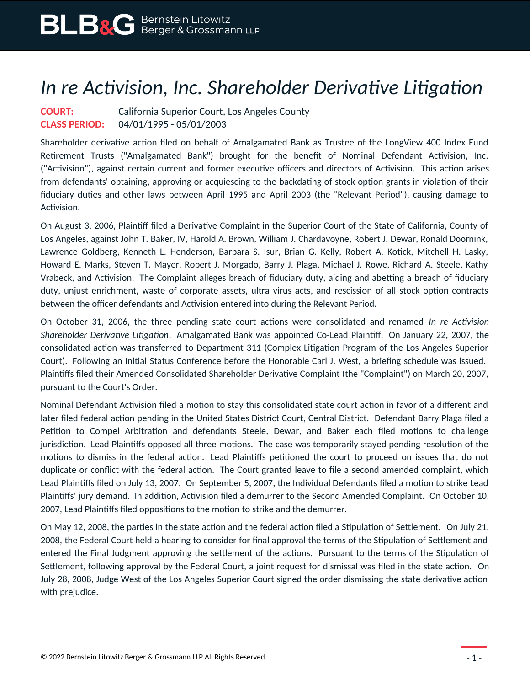## *In re Activision, Inc. Shareholder Derivative Litigation*

**COURT:** California Superior Court, Los Angeles County **CLASS PERIOD:** 04/01/1995 - 05/01/2003

Shareholder derivative action filed on behalf of Amalgamated Bank as Trustee of the LongView 400 Index Fund Retirement Trusts ("Amalgamated Bank") brought for the benefit of Nominal Defendant Activision, Inc. ("Activision"), against certain current and former executive officers and directors of Activision. This action arises from defendants' obtaining, approving or acquiescing to the backdating of stock option grants in violation of their fiduciary duties and other laws between April 1995 and April 2003 (the "Relevant Period"), causing damage to Activision.

On August 3, 2006, Plaintiff filed a Derivative Complaint in the Superior Court of the State of California, County of Los Angeles, against John T. Baker, IV, Harold A. Brown, William J. Chardavoyne, Robert J. Dewar, Ronald Doornink, Lawrence Goldberg, Kenneth L. Henderson, Barbara S. Isur, Brian G. Kelly, Robert A. Kotick, Mitchell H. Lasky, Howard E. Marks, Steven T. Mayer, Robert J. Morgado, Barry J. Plaga, Michael J. Rowe, Richard A. Steele, Kathy Vrabeck, and Activision. The Complaint alleges breach of fiduciary duty, aiding and abetting a breach of fiduciary duty, unjust enrichment, waste of corporate assets, ultra virus acts, and rescission of all stock option contracts between the officer defendants and Activision entered into during the Relevant Period.

On October 31, 2006, the three pending state court actions were consolidated and renamed *In re Activision Shareholder Derivative Litigation*. Amalgamated Bank was appointed Co-Lead Plaintiff. On January 22, 2007, the consolidated action was transferred to Department 311 (Complex Litigation Program of the Los Angeles Superior Court). Following an Initial Status Conference before the Honorable Carl J. West, a briefing schedule was issued. Plaintiffs filed their Amended Consolidated Shareholder Derivative Complaint (the "Complaint") on March 20, 2007, pursuant to the Court's Order.

Nominal Defendant Activision filed a motion to stay this consolidated state court action in favor of a different and later filed federal action pending in the United States District Court, Central District. Defendant Barry Plaga filed a Petition to Compel Arbitration and defendants Steele, Dewar, and Baker each filed motions to challenge jurisdiction. Lead Plaintiffs opposed all three motions. The case was temporarily stayed pending resolution of the motions to dismiss in the federal action. Lead Plaintiffs petitioned the court to proceed on issues that do not duplicate or conflict with the federal action. The Court granted leave to file a second amended complaint, which Lead Plaintiffs filed on July 13, 2007. On September 5, 2007, the Individual Defendants filed a motion to strike Lead Plaintiffs' jury demand. In addition, Activision filed a demurrer to the Second Amended Complaint. On October 10, 2007, Lead Plaintiffs filed oppositions to the motion to strike and the demurrer.

On May 12, 2008, the parties in the state action and the federal action filed a Stipulation of Settlement. On July 21, 2008, the Federal Court held a hearing to consider for final approval the terms of the Stipulation of Settlement and entered the Final Judgment approving the settlement of the actions. Pursuant to the terms of the Stipulation of Settlement, following approval by the Federal Court, a joint request for dismissal was filed in the state action. On July 28, 2008, Judge West of the Los Angeles Superior Court signed the order dismissing the state derivative action with prejudice.